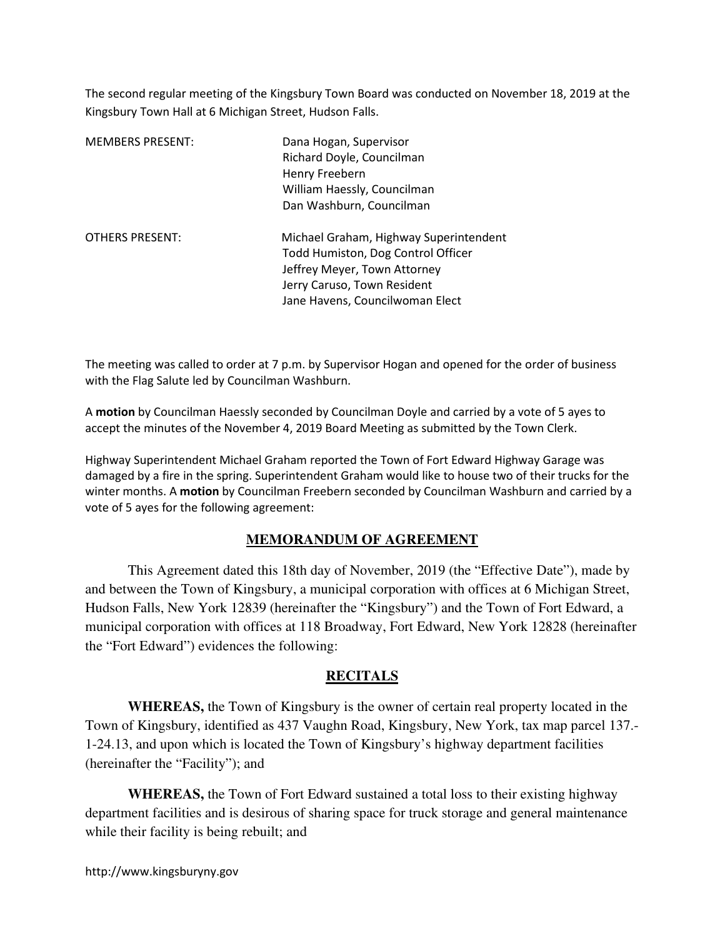The second regular meeting of the Kingsbury Town Board was conducted on November 18, 2019 at the Kingsbury Town Hall at 6 Michigan Street, Hudson Falls.

| <b>MEMBERS PRESENT:</b> | Dana Hogan, Supervisor<br>Richard Doyle, Councilman<br>Henry Freebern<br>William Haessly, Councilman<br>Dan Washburn, Councilman                                               |
|-------------------------|--------------------------------------------------------------------------------------------------------------------------------------------------------------------------------|
| <b>OTHERS PRESENT:</b>  | Michael Graham, Highway Superintendent<br>Todd Humiston, Dog Control Officer<br>Jeffrey Meyer, Town Attorney<br>Jerry Caruso, Town Resident<br>Jane Havens, Councilwoman Elect |

The meeting was called to order at 7 p.m. by Supervisor Hogan and opened for the order of business with the Flag Salute led by Councilman Washburn.

A motion by Councilman Haessly seconded by Councilman Doyle and carried by a vote of 5 ayes to accept the minutes of the November 4, 2019 Board Meeting as submitted by the Town Clerk.

Highway Superintendent Michael Graham reported the Town of Fort Edward Highway Garage was damaged by a fire in the spring. Superintendent Graham would like to house two of their trucks for the winter months. A motion by Councilman Freebern seconded by Councilman Washburn and carried by a vote of 5 ayes for the following agreement:

# **MEMORANDUM OF AGREEMENT**

 This Agreement dated this 18th day of November, 2019 (the "Effective Date"), made by and between the Town of Kingsbury, a municipal corporation with offices at 6 Michigan Street, Hudson Falls, New York 12839 (hereinafter the "Kingsbury") and the Town of Fort Edward, a municipal corporation with offices at 118 Broadway, Fort Edward, New York 12828 (hereinafter the "Fort Edward") evidences the following:

## **RECITALS**

 **WHEREAS,** the Town of Kingsbury is the owner of certain real property located in the Town of Kingsbury, identified as 437 Vaughn Road, Kingsbury, New York, tax map parcel 137.- 1-24.13, and upon which is located the Town of Kingsbury's highway department facilities (hereinafter the "Facility"); and

**WHEREAS,** the Town of Fort Edward sustained a total loss to their existing highway department facilities and is desirous of sharing space for truck storage and general maintenance while their facility is being rebuilt; and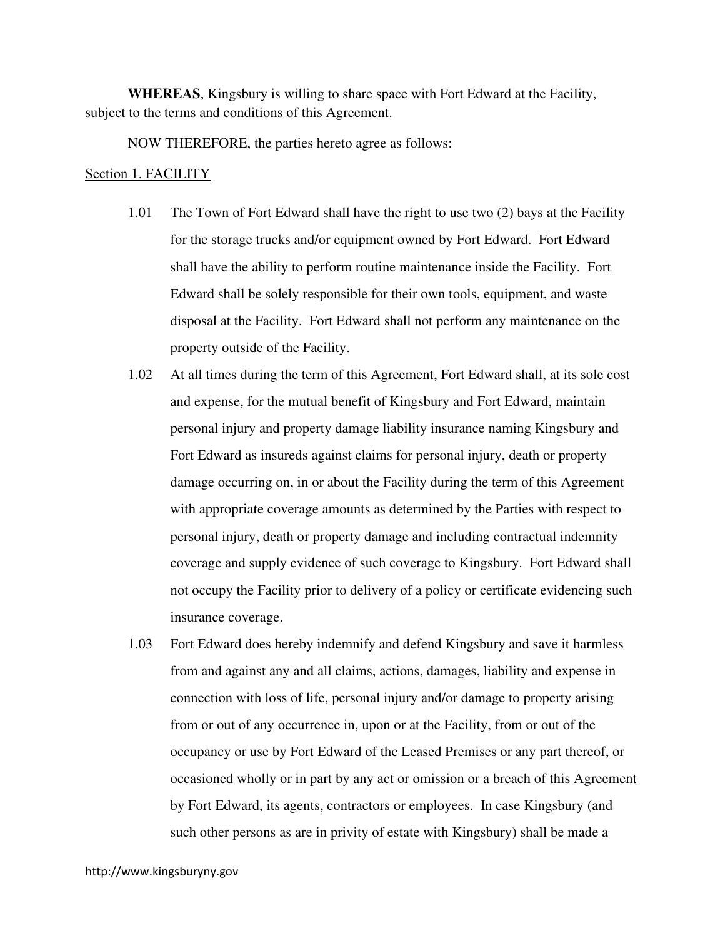**WHEREAS**, Kingsbury is willing to share space with Fort Edward at the Facility, subject to the terms and conditions of this Agreement.

NOW THEREFORE, the parties hereto agree as follows:

#### Section 1. FACILITY

- 1.01 The Town of Fort Edward shall have the right to use two (2) bays at the Facility for the storage trucks and/or equipment owned by Fort Edward. Fort Edward shall have the ability to perform routine maintenance inside the Facility. Fort Edward shall be solely responsible for their own tools, equipment, and waste disposal at the Facility. Fort Edward shall not perform any maintenance on the property outside of the Facility.
- 1.02 At all times during the term of this Agreement, Fort Edward shall, at its sole cost and expense, for the mutual benefit of Kingsbury and Fort Edward, maintain personal injury and property damage liability insurance naming Kingsbury and Fort Edward as insureds against claims for personal injury, death or property damage occurring on, in or about the Facility during the term of this Agreement with appropriate coverage amounts as determined by the Parties with respect to personal injury, death or property damage and including contractual indemnity coverage and supply evidence of such coverage to Kingsbury. Fort Edward shall not occupy the Facility prior to delivery of a policy or certificate evidencing such insurance coverage.
- 1.03 Fort Edward does hereby indemnify and defend Kingsbury and save it harmless from and against any and all claims, actions, damages, liability and expense in connection with loss of life, personal injury and/or damage to property arising from or out of any occurrence in, upon or at the Facility, from or out of the occupancy or use by Fort Edward of the Leased Premises or any part thereof, or occasioned wholly or in part by any act or omission or a breach of this Agreement by Fort Edward, its agents, contractors or employees. In case Kingsbury (and such other persons as are in privity of estate with Kingsbury) shall be made a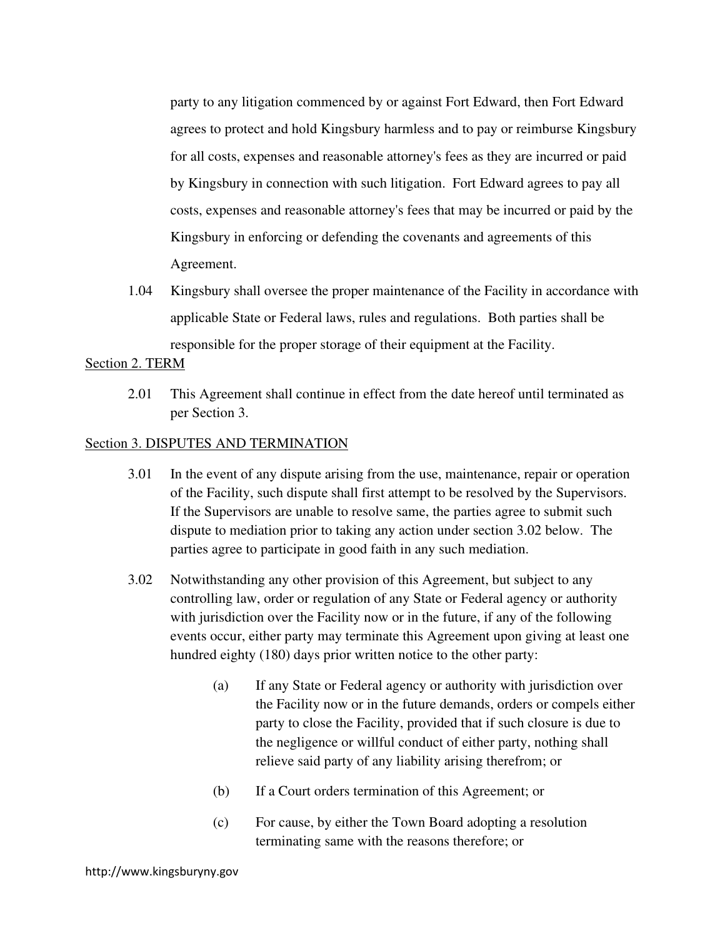party to any litigation commenced by or against Fort Edward, then Fort Edward agrees to protect and hold Kingsbury harmless and to pay or reimburse Kingsbury for all costs, expenses and reasonable attorney's fees as they are incurred or paid by Kingsbury in connection with such litigation. Fort Edward agrees to pay all costs, expenses and reasonable attorney's fees that may be incurred or paid by the Kingsbury in enforcing or defending the covenants and agreements of this Agreement.

1.04 Kingsbury shall oversee the proper maintenance of the Facility in accordance with applicable State or Federal laws, rules and regulations. Both parties shall be responsible for the proper storage of their equipment at the Facility.

### Section 2. TERM

2.01 This Agreement shall continue in effect from the date hereof until terminated as per Section 3.

## Section 3. DISPUTES AND TERMINATION

- 3.01 In the event of any dispute arising from the use, maintenance, repair or operation of the Facility, such dispute shall first attempt to be resolved by the Supervisors. If the Supervisors are unable to resolve same, the parties agree to submit such dispute to mediation prior to taking any action under section 3.02 below. The parties agree to participate in good faith in any such mediation.
- 3.02 Notwithstanding any other provision of this Agreement, but subject to any controlling law, order or regulation of any State or Federal agency or authority with jurisdiction over the Facility now or in the future, if any of the following events occur, either party may terminate this Agreement upon giving at least one hundred eighty (180) days prior written notice to the other party:
	- (a) If any State or Federal agency or authority with jurisdiction over the Facility now or in the future demands, orders or compels either party to close the Facility, provided that if such closure is due to the negligence or willful conduct of either party, nothing shall relieve said party of any liability arising therefrom; or
	- (b) If a Court orders termination of this Agreement; or
	- (c) For cause, by either the Town Board adopting a resolution terminating same with the reasons therefore; or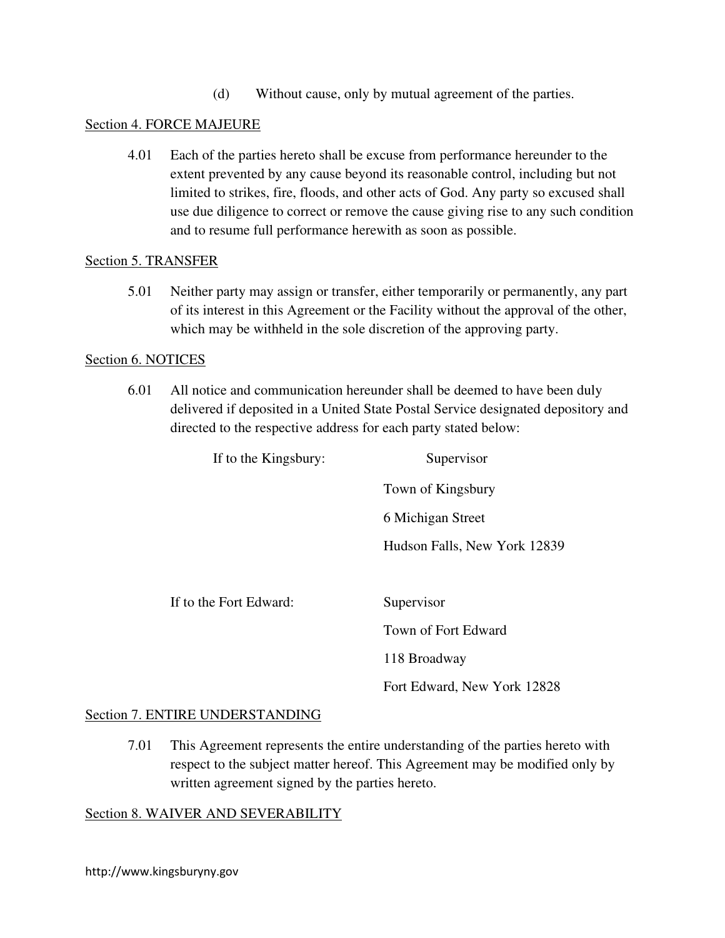(d) Without cause, only by mutual agreement of the parties.

## Section 4. FORCE MAJEURE

4.01 Each of the parties hereto shall be excuse from performance hereunder to the extent prevented by any cause beyond its reasonable control, including but not limited to strikes, fire, floods, and other acts of God. Any party so excused shall use due diligence to correct or remove the cause giving rise to any such condition and to resume full performance herewith as soon as possible.

## Section 5. TRANSFER

5.01 Neither party may assign or transfer, either temporarily or permanently, any part of its interest in this Agreement or the Facility without the approval of the other, which may be withheld in the sole discretion of the approving party.

## Section 6. NOTICES

6.01 All notice and communication hereunder shall be deemed to have been duly delivered if deposited in a United State Postal Service designated depository and directed to the respective address for each party stated below:

| If to the Kingsbury:   | Supervisor                   |  |
|------------------------|------------------------------|--|
|                        | Town of Kingsbury            |  |
|                        | 6 Michigan Street            |  |
|                        | Hudson Falls, New York 12839 |  |
|                        |                              |  |
| If to the Fort Edward: | Supervisor                   |  |
|                        | Town of Fort Edward          |  |
|                        | 118 Broadway                 |  |

## Section 7. ENTIRE UNDERSTANDING

7.01 This Agreement represents the entire understanding of the parties hereto with respect to the subject matter hereof. This Agreement may be modified only by written agreement signed by the parties hereto.

Fort Edward, New York 12828

## Section 8. WAIVER AND SEVERABILITY

http://www.kingsburyny.gov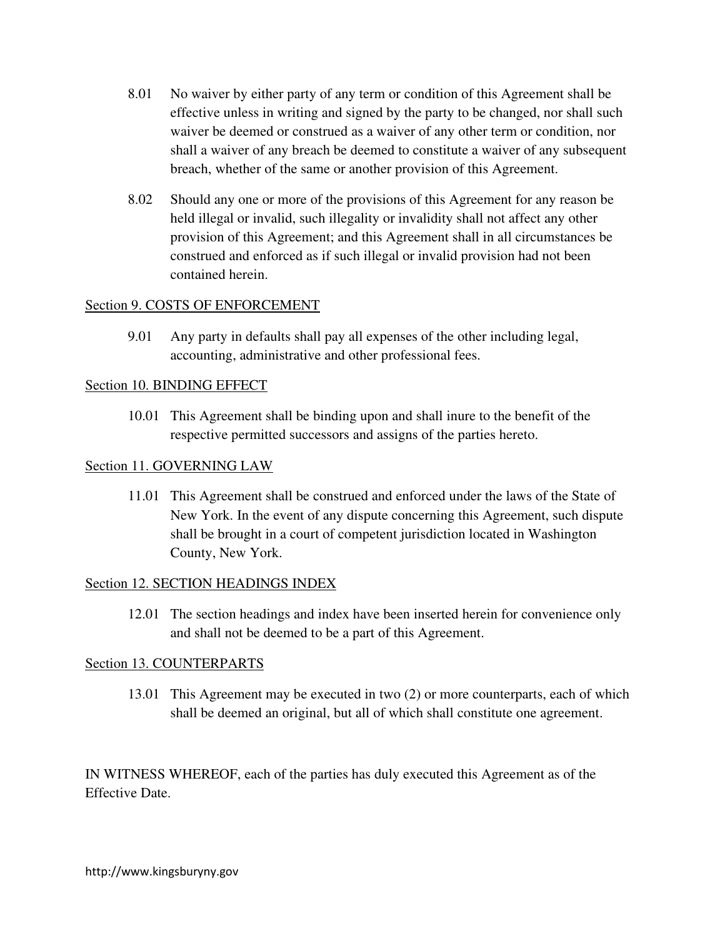- 8.01 No waiver by either party of any term or condition of this Agreement shall be effective unless in writing and signed by the party to be changed, nor shall such waiver be deemed or construed as a waiver of any other term or condition, nor shall a waiver of any breach be deemed to constitute a waiver of any subsequent breach, whether of the same or another provision of this Agreement.
- 8.02 Should any one or more of the provisions of this Agreement for any reason be held illegal or invalid, such illegality or invalidity shall not affect any other provision of this Agreement; and this Agreement shall in all circumstances be construed and enforced as if such illegal or invalid provision had not been contained herein.

## Section 9. COSTS OF ENFORCEMENT

9.01 Any party in defaults shall pay all expenses of the other including legal, accounting, administrative and other professional fees.

## Section 10. BINDING EFFECT

10.01 This Agreement shall be binding upon and shall inure to the benefit of the respective permitted successors and assigns of the parties hereto.

## Section 11. GOVERNING LAW

11.01 This Agreement shall be construed and enforced under the laws of the State of New York. In the event of any dispute concerning this Agreement, such dispute shall be brought in a court of competent jurisdiction located in Washington County, New York.

# Section 12. SECTION HEADINGS INDEX

12.01 The section headings and index have been inserted herein for convenience only and shall not be deemed to be a part of this Agreement.

# Section 13. COUNTERPARTS

13.01 This Agreement may be executed in two (2) or more counterparts, each of which shall be deemed an original, but all of which shall constitute one agreement.

IN WITNESS WHEREOF, each of the parties has duly executed this Agreement as of the Effective Date.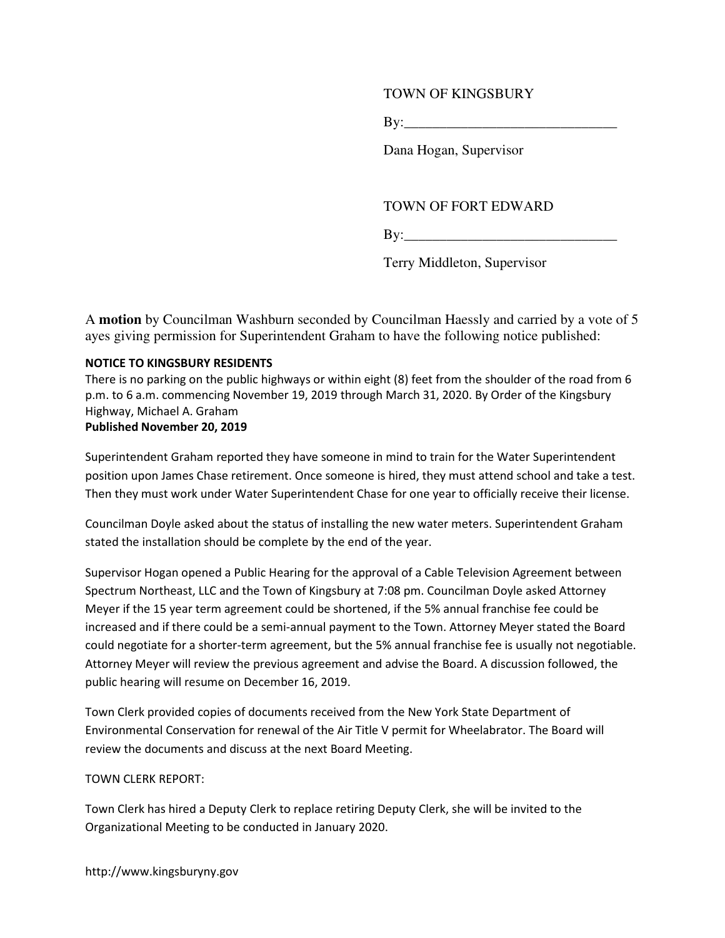## TOWN OF KINGSBURY

By:\_\_\_\_\_\_\_\_\_\_\_\_\_\_\_\_\_\_\_\_\_\_\_\_\_\_\_\_\_\_

Dana Hogan, Supervisor

## TOWN OF FORT EDWARD

**By:\_\_\_\_\_\_\_\_\_\_\_\_\_\_\_\_\_\_\_\_\_\_\_\_\_\_\_\_\_\_\_\_** 

Terry Middleton, Supervisor

A **motion** by Councilman Washburn seconded by Councilman Haessly and carried by a vote of 5 ayes giving permission for Superintendent Graham to have the following notice published:

### NOTICE TO KINGSBURY RESIDENTS

There is no parking on the public highways or within eight (8) feet from the shoulder of the road from 6 p.m. to 6 a.m. commencing November 19, 2019 through March 31, 2020. By Order of the Kingsbury Highway, Michael A. Graham Published November 20, 2019

Superintendent Graham reported they have someone in mind to train for the Water Superintendent position upon James Chase retirement. Once someone is hired, they must attend school and take a test. Then they must work under Water Superintendent Chase for one year to officially receive their license.

Councilman Doyle asked about the status of installing the new water meters. Superintendent Graham stated the installation should be complete by the end of the year.

Supervisor Hogan opened a Public Hearing for the approval of a Cable Television Agreement between Spectrum Northeast, LLC and the Town of Kingsbury at 7:08 pm. Councilman Doyle asked Attorney Meyer if the 15 year term agreement could be shortened, if the 5% annual franchise fee could be increased and if there could be a semi-annual payment to the Town. Attorney Meyer stated the Board could negotiate for a shorter-term agreement, but the 5% annual franchise fee is usually not negotiable. Attorney Meyer will review the previous agreement and advise the Board. A discussion followed, the public hearing will resume on December 16, 2019.

Town Clerk provided copies of documents received from the New York State Department of Environmental Conservation for renewal of the Air Title V permit for Wheelabrator. The Board will review the documents and discuss at the next Board Meeting.

### TOWN CLERK REPORT:

Town Clerk has hired a Deputy Clerk to replace retiring Deputy Clerk, she will be invited to the Organizational Meeting to be conducted in January 2020.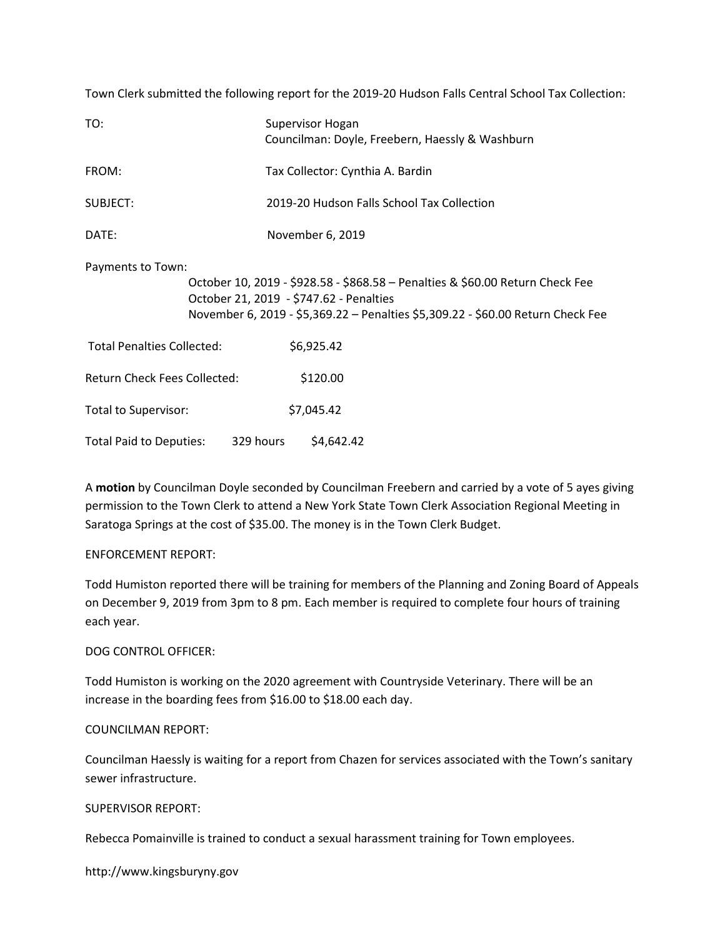Town Clerk submitted the following report for the 2019-20 Hudson Falls Central School Tax Collection:

| TO:                                         | Supervisor Hogan<br>Councilman: Doyle, Freebern, Haessly & Washburn                                                                                                                                         |  |  |
|---------------------------------------------|-------------------------------------------------------------------------------------------------------------------------------------------------------------------------------------------------------------|--|--|
| FROM:                                       | Tax Collector: Cynthia A. Bardin                                                                                                                                                                            |  |  |
| SUBJECT:                                    | 2019-20 Hudson Falls School Tax Collection                                                                                                                                                                  |  |  |
| DATE:                                       | November 6, 2019                                                                                                                                                                                            |  |  |
| Payments to Town:                           | October 10, 2019 - \$928.58 - \$868.58 - Penalties & \$60.00 Return Check Fee<br>October 21, 2019 - \$747.62 - Penalties<br>November 6, 2019 - \$5,369.22 - Penalties \$5,309.22 - \$60.00 Return Check Fee |  |  |
| <b>Total Penalties Collected:</b>           | \$6,925.42                                                                                                                                                                                                  |  |  |
| <b>Return Check Fees Collected:</b>         | \$120.00                                                                                                                                                                                                    |  |  |
| Total to Supervisor:                        | \$7,045.42                                                                                                                                                                                                  |  |  |
| <b>Total Paid to Deputies:</b><br>329 hours | \$4,642.42                                                                                                                                                                                                  |  |  |

A motion by Councilman Doyle seconded by Councilman Freebern and carried by a vote of 5 ayes giving permission to the Town Clerk to attend a New York State Town Clerk Association Regional Meeting in Saratoga Springs at the cost of \$35.00. The money is in the Town Clerk Budget.

### ENFORCEMENT REPORT:

Todd Humiston reported there will be training for members of the Planning and Zoning Board of Appeals on December 9, 2019 from 3pm to 8 pm. Each member is required to complete four hours of training each year.

### DOG CONTROL OFFICER:

Todd Humiston is working on the 2020 agreement with Countryside Veterinary. There will be an increase in the boarding fees from \$16.00 to \$18.00 each day.

#### COUNCILMAN REPORT:

Councilman Haessly is waiting for a report from Chazen for services associated with the Town's sanitary sewer infrastructure.

#### SUPERVISOR REPORT:

Rebecca Pomainville is trained to conduct a sexual harassment training for Town employees.

http://www.kingsburyny.gov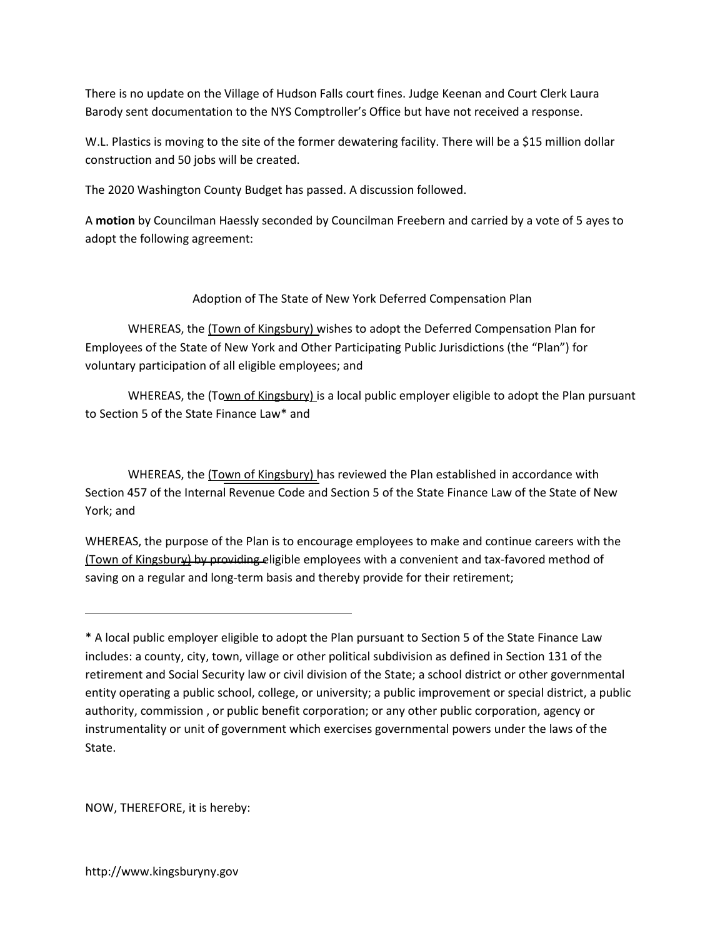There is no update on the Village of Hudson Falls court fines. Judge Keenan and Court Clerk Laura Barody sent documentation to the NYS Comptroller's Office but have not received a response.

W.L. Plastics is moving to the site of the former dewatering facility. There will be a \$15 million dollar construction and 50 jobs will be created.

The 2020 Washington County Budget has passed. A discussion followed.

A motion by Councilman Haessly seconded by Councilman Freebern and carried by a vote of 5 ayes to adopt the following agreement:

Adoption of The State of New York Deferred Compensation Plan

WHEREAS, the (Town of Kingsbury) wishes to adopt the Deferred Compensation Plan for Employees of the State of New York and Other Participating Public Jurisdictions (the "Plan") for voluntary participation of all eligible employees; and

WHEREAS, the (Town of Kingsbury) is a local public employer eligible to adopt the Plan pursuant to Section 5 of the State Finance Law\* and

WHEREAS, the (Town of Kingsbury) has reviewed the Plan established in accordance with Section 457 of the Internal Revenue Code and Section 5 of the State Finance Law of the State of New York; and

WHEREAS, the purpose of the Plan is to encourage employees to make and continue careers with the (Town of Kingsbury) by providing eligible employees with a convenient and tax-favored method of saving on a regular and long-term basis and thereby provide for their retirement;

NOW, THEREFORE, it is hereby:

<sup>\*</sup> A local public employer eligible to adopt the Plan pursuant to Section 5 of the State Finance Law includes: a county, city, town, village or other political subdivision as defined in Section 131 of the retirement and Social Security law or civil division of the State; a school district or other governmental entity operating a public school, college, or university; a public improvement or special district, a public authority, commission , or public benefit corporation; or any other public corporation, agency or instrumentality or unit of government which exercises governmental powers under the laws of the State.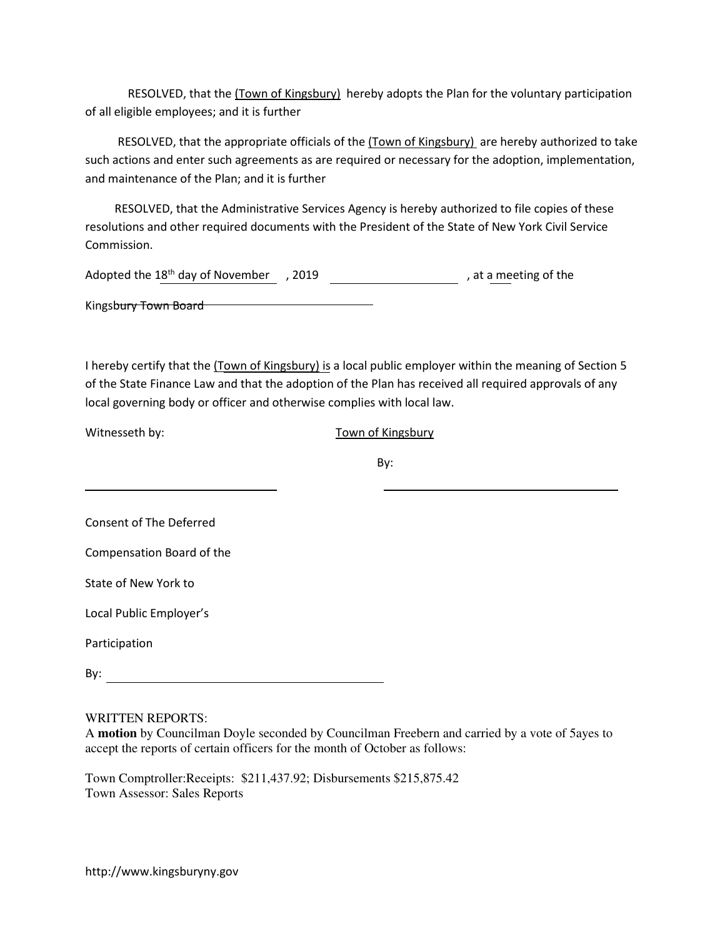RESOLVED, that the (Town of Kingsbury) hereby adopts the Plan for the voluntary participation of all eligible employees; and it is further

RESOLVED, that the appropriate officials of the (Town of Kingsbury) are hereby authorized to take such actions and enter such agreements as are required or necessary for the adoption, implementation, and maintenance of the Plan; and it is further

 RESOLVED, that the Administrative Services Agency is hereby authorized to file copies of these resolutions and other required documents with the President of the State of New York Civil Service Commission.

| Adopted the 18 <sup>th</sup> day of November | . 2019 | , at a meeting of the |
|----------------------------------------------|--------|-----------------------|
| Kingsbury Town Board                         |        |                       |

I hereby certify that the (Town of Kingsbury) is a local public employer within the meaning of Section 5 of the State Finance Law and that the adoption of the Plan has received all required approvals of any local governing body or officer and otherwise complies with local law.

| Witnesseth by: |  |
|----------------|--|
|----------------|--|

Town of Kingsbury

By:

Consent of The Deferred

Compensation Board of the

State of New York to

Local Public Employer's

Participation

By:  $\qquad \qquad \_$ <u> 1989 - Johann Barbara, martxa alemaniar a</u>

WRITTEN REPORTS:

A **motion** by Councilman Doyle seconded by Councilman Freebern and carried by a vote of 5ayes to accept the reports of certain officers for the month of October as follows:

Town Comptroller:Receipts: \$211,437.92; Disbursements \$215,875.42 Town Assessor: Sales Reports